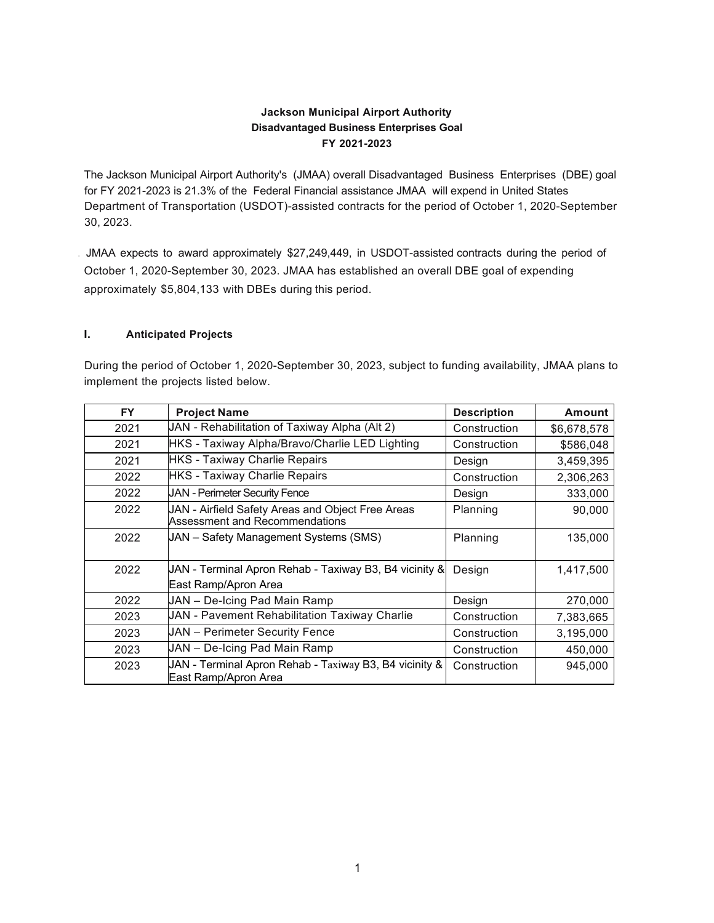# **Jackson Municipal Airport Authority Disadvantaged Business Enterprises Goal FY 2021-2023**

The Jackson Municipal Airport Authority's (JMAA) overall Disadvantaged Business Enterprises (DBE) goal for FY 2021-2023 is 21.3% of the Federal Financial assistance JMAA will expend in United States Department of Transportation (USDOT)-assisted contracts for the period of October 1, 2020-September 30, 2023.

. JMAA expects to award approximately \$27,249,449, in USDOT-assisted contracts during the period of October 1, 2020-September 30, 2023. JMAA has established an overall DBE goal of expending approximately \$5,804,133 with DBEs during this period.

### **I. Anticipated Projects**

During the period of October 1, 2020-September 30, 2023, subject to funding availability, JMAA plans to implement the projects listed below.

| <b>FY</b> | <b>Project Name</b>                                                                 | <b>Description</b> | <b>Amount</b> |
|-----------|-------------------------------------------------------------------------------------|--------------------|---------------|
| 2021      | JAN - Rehabilitation of Taxiway Alpha (Alt 2)                                       | Construction       | \$6,678,578   |
| 2021      | HKS - Taxiway Alpha/Bravo/Charlie LED Lighting                                      | Construction       | \$586,048     |
| 2021      | <b>HKS</b> - Taxiway Charlie Repairs                                                | Design             | 3,459,395     |
| 2022      | <b>HKS</b> - Taxiway Charlie Repairs                                                | Construction       | 2,306,263     |
| 2022      | <b>JAN - Perimeter Security Fence</b>                                               | Design             | 333,000       |
| 2022      | JAN - Airfield Safety Areas and Object Free Areas<br>Assessment and Recommendations | Planning           | 90,000        |
| 2022      | JAN - Safety Management Systems (SMS)                                               | Planning           | 135,000       |
| 2022      | JAN - Terminal Apron Rehab - Taxiway B3, B4 vicinity &<br>East Ramp/Apron Area      | Design             | 1,417,500     |
| 2022      | JAN - De-Icing Pad Main Ramp                                                        | Design             | 270,000       |
| 2023      | <b>JAN - Pavement Rehabilitation Taxiway Charlie</b>                                | Construction       | 7,383,665     |
| 2023      | <b>JAN</b> - Perimeter Security Fence                                               | Construction       | 3,195,000     |
| 2023      | JAN - De-Icing Pad Main Ramp                                                        | Construction       | 450,000       |
| 2023      | JAN - Terminal Apron Rehab - Taxiway B3, B4 vicinity &<br>East Ramp/Apron Area      | Construction       | 945,000       |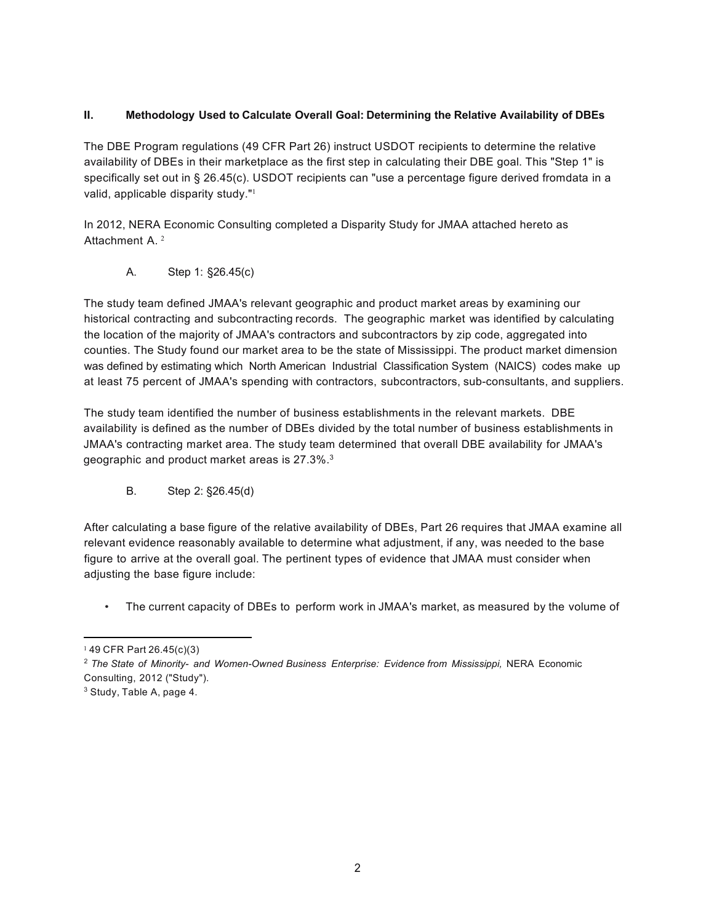## **II. Methodology Used to Calculate Overall Goal: Determining the Relative Availability of DBEs**

The DBE Program regulations (49 CFR Part 26) instruct USDOT recipients to determine the relative availability of DBEs in their marketplace as the first step in calculating their DBE goal. This "Step 1" is specifically set out in § 26.45(c). USDOT recipients can "use a percentage figure derived fromdata in a valid, applicable disparity study."<sup>1</sup>

In 2012, NERA Economic Consulting completed a Disparity Study for JMAA attached hereto as Attachment A. <sup>2</sup>

A. Step 1: §26.45(c)

The study team defined JMAA's relevant geographic and product market areas by examining our historical contracting and subcontracting records. The geographic market was identified by calculating the location of the majority of JMAA's contractors and subcontractors by zip code, aggregated into counties. The Study found our market area to be the state of Mississippi. The product market dimension was defined by estimating which North American Industrial Classification System (NAICS) codes make up at least 75 percent of JMAA's spending with contractors, subcontractors, sub-consultants, and suppliers.

The study team identified the number of business establishments in the relevant markets. DBE availability is defined as the number of DBEs divided by the total number of business establishments in JMAA's contracting market area. The study team determined that overall DBE availability for JMAA's geographic and product market areas is 27.3%.3

B. Step 2: §26.45(d)

After calculating a base figure of the relative availability of DBEs, Part 26 requires that JMAA examine all relevant evidence reasonably available to determine what adjustment, if any, was needed to the base figure to arrive at the overall goal. The pertinent types of evidence that JMAA must consider when adjusting the base figure include:

• The current capacity of DBEs to perform work in JMAA's market, as measured by the volume of

 $149$  CFR Part 26.45(c)(3)

<sup>2</sup> *The State of Minority- and Women-Owned Business Enterprise: Evidence from Mississippi,* NERA Economic Consulting, 2012 ("Study").

<sup>3</sup> Study, Table A, page 4.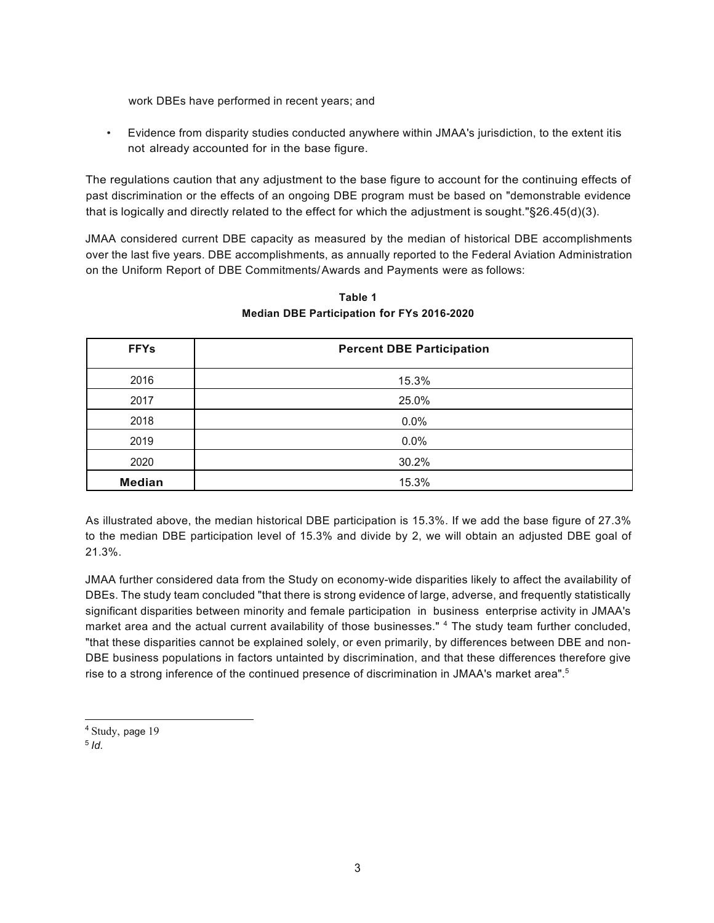work DBEs have performed in recent years; and

• Evidence from disparity studies conducted anywhere within JMAA's jurisdiction, to the extent itis not already accounted for in the base figure.

The regulations caution that any adjustment to the base figure to account for the continuing effects of past discrimination or the effects of an ongoing DBE program must be based on "demonstrable evidence that is logically and directly related to the effect for which the adjustment is sought."§26.45(d)(3).

JMAA considered current DBE capacity as measured by the median of historical DBE accomplishments over the last five years. DBE accomplishments, as annually reported to the Federal Aviation Administration on the Uniform Report of DBE Commitments/Awards and Payments were as follows:

| <b>FFYs</b>   | <b>Percent DBE Participation</b> |  |
|---------------|----------------------------------|--|
| 2016          | 15.3%                            |  |
| 2017          | 25.0%                            |  |
| 2018          | 0.0%                             |  |
| 2019          | 0.0%                             |  |
| 2020          | 30.2%                            |  |
| <b>Median</b> | 15.3%                            |  |

# **Table 1 Median DBE Participation for FYs 2016-2020**

As illustrated above, the median historical DBE participation is 15.3%. If we add the base figure of 27.3% to the median DBE participation level of 15.3% and divide by 2, we will obtain an adjusted DBE goal of 21.3%.

JMAA further considered data from the Study on economy-wide disparities likely to affect the availability of DBEs. The study team concluded "that there is strong evidence of large, adverse, and frequently statistically significant disparities between minority and female participation in business enterprise activity in JMAA's market area and the actual current availability of those businesses." <sup>4</sup> The study team further concluded, "that these disparities cannot be explained solely, or even primarily, by differences between DBE and non-DBE business populations in factors untainted by discrimination, and that these differences therefore give rise to a strong inference of the continued presence of discrimination in JMAA's market area".<sup>5</sup>

- <sup>4</sup> Study, page 19
- <sup>5</sup> *Id.*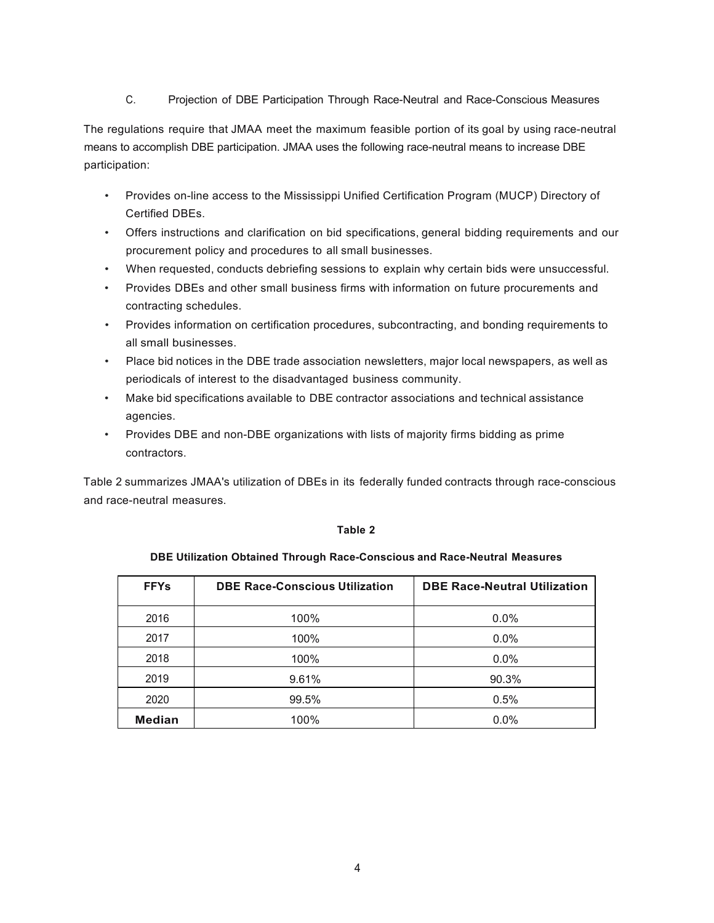C. Projection of DBE Participation Through Race-Neutral and Race-Conscious Measures

The regulations require that JMAA meet the maximum feasible portion of its goal by using race-neutral means to accomplish DBE participation. JMAA uses the following race-neutral means to increase DBE participation:

- Provides on-line access to the Mississippi Unified Certification Program (MUCP) Directory of Certified DBEs.
- Offers instructions and clarification on bid specifications, general bidding requirements and our procurement policy and procedures to all small businesses.
- When requested, conducts debriefing sessions to explain why certain bids were unsuccessful.
- Provides DBEs and other small business firms with information on future procurements and contracting schedules.
- Provides information on certification procedures, subcontracting, and bonding requirements to all small businesses.
- Place bid notices in the DBE trade association newsletters, major local newspapers, as well as periodicals of interest to the disadvantaged business community.
- Make bid specifications available to DBE contractor associations and technical assistance agencies.
- Provides DBE and non-DBE organizations with lists of majority firms bidding as prime contractors.

Table 2 summarizes JMAA's utilization of DBEs in its federally funded contracts through race-conscious and race-neutral measures.

#### **Table 2**

#### **DBE Utilization Obtained Through Race-Conscious and Race-Neutral Measures**

| <b>FFYs</b>   | <b>DBE Race-Conscious Utilization</b> | <b>DBE Race-Neutral Utilization</b> |
|---------------|---------------------------------------|-------------------------------------|
| 2016          | 100%                                  | 0.0%                                |
| 2017          | 100%                                  | 0.0%                                |
| 2018          | 100%                                  | $0.0\%$                             |
| 2019          | 9.61%                                 | 90.3%                               |
| 2020          | 99.5%                                 | 0.5%                                |
| <b>Median</b> | 100%                                  | $0.0\%$                             |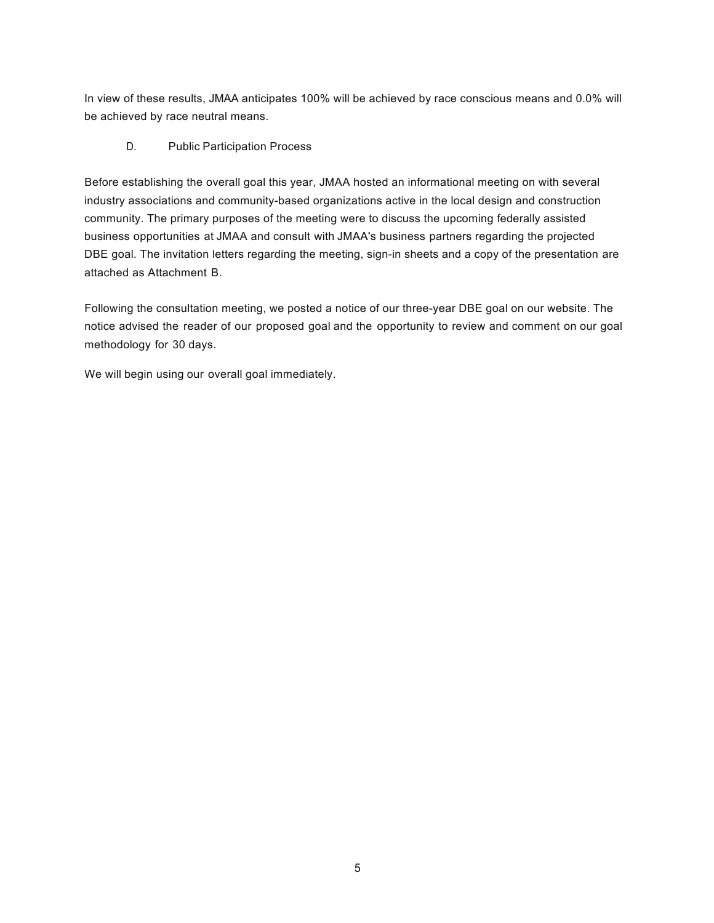In view of these results, JMAA anticipates 100% will be achieved by race conscious means and 0.0% will be achieved by race neutral means.

# D. Public Participation Process

Before establishing the overall goal this year, JMAA hosted an informational meeting on with several industry associations and community-based organizations active in the local design and construction community. The primary purposes of the meeting were to discuss the upcoming federally assisted business opportunities at JMAA and consult with JMAA's business partners regarding the projected DBE goal. The invitation letters regarding the meeting, sign-in sheets and a copy of the presentation are attached as Attachment B.

Following the consultation meeting, we posted a notice of our three-year DBE goal on our website. The notice advised the reader of our proposed goal and the opportunity to review and comment on our goal methodology for 30 days.

We will begin using our overall goal immediately.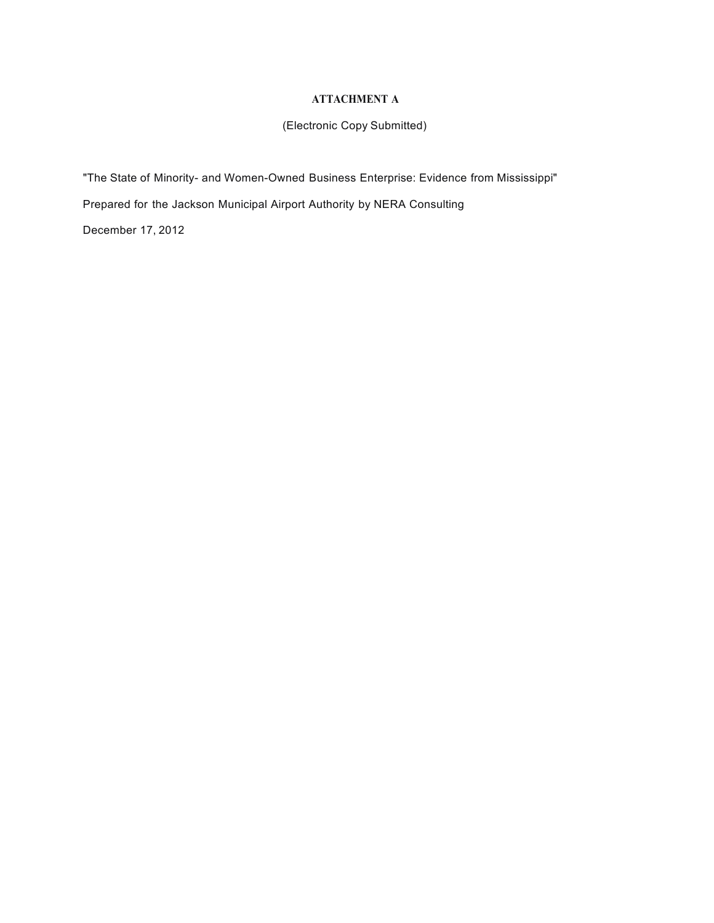### **ATTACHMENT A**

# (Electronic Copy Submitted)

"The State of Minority- and Women-Owned Business Enterprise: Evidence from Mississippi" Prepared for the Jackson Municipal Airport Authority by NERA Consulting December 17, 2012